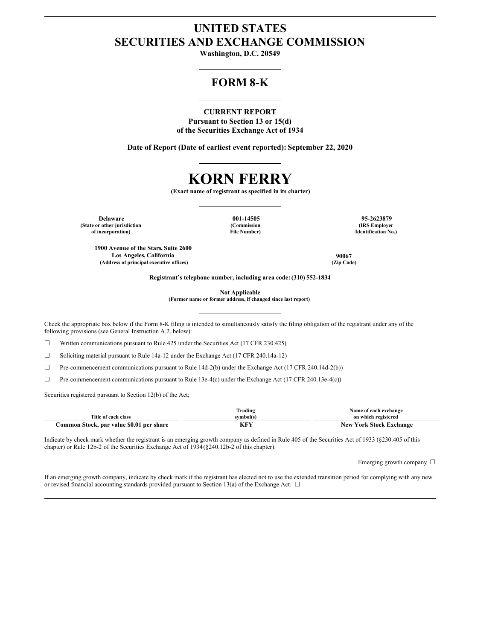## **UNITED STATES SECURITIES AND EXCHANGE COMMISSION**

**Washington, D.C. 20549**

## **FORM 8-K**

#### **CURRENT REPORT**

**Pursuant to Section 13 or 15(d) of the Securities Exchange Act of 1934**

**Date of Report (Date of earliest event reported): September 22, 2020**

# **KORN FERRY**

**(Exact name of registrant as specified in its charter)**

**Delaware 001-14505 95-2623879 (State or other jurisdiction of incorporation)**

**(Commission File Number)**

**(IRS Employer Identification No.)**

**1900 Avenue of the Stars, Suite 2600 Los Angeles, California 90067 (Address of principal executive offices) (Zip Code)**

**Registrant's telephone number, including area code: (310) 552-1834**

**Not Applicable**

**(Former name or former address, if changed since last report)**

Check the appropriate box below if the Form 8-K filing is intended to simultaneously satisfy the filing obligation of the registrant under any of the following provisions (see General Instruction A.2. below):

 $\Box$  Written communications pursuant to Rule 425 under the Securities Act (17 CFR 230.425)

☐ Soliciting material pursuant to Rule 14a-12 under the Exchange Act (17 CFR 240.14a-12)

☐ Pre-commencement communications pursuant to Rule 14d-2(b) under the Exchange Act (17 CFR 240.14d-2(b))

 $\Box$  Pre-commencement communications pursuant to Rule 13e-4(c) under the Exchange Act (17 CFR 240.13e-4(c))

Securities registered pursuant to Section 12(b) of the Act;

|                                          | Frading   | Name of each exchange          |
|------------------------------------------|-----------|--------------------------------|
| Title of each class                      | symbol(s) | on which registered            |
| Common Stock, par value \$0.01 per share | KF)       | <b>New York Stock Exchange</b> |

Indicate by check mark whether the registrant is an emerging growth company as defined in Rule 405 of the Securities Act of 1933 (§230.405 of this chapter) or Rule 12b-2 of the Securities Exchange Act of 1934(§240.12b-2 of this chapter).

Emerging growth company □

If an emerging growth company, indicate by check mark if the registrant has elected not to use the extended transition period for complying with any new or revised financial accounting standards provided pursuant to Section 13(a) of the Exchange Act.  $\Box$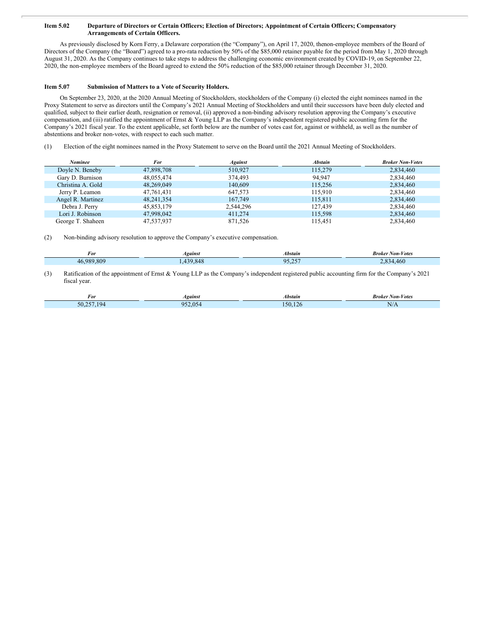#### Item 5.02 Departure of Directors or Certain Officers; Election of Directors; Appointment of Certain Officers; Compensatory **Arrangements of Certain Officers.**

As previously disclosed by Korn Ferry, a Delaware corporation (the "Company"), on April 17, 2020, thenon-employee members of the Board of Directors of the Company (the "Board") agreed to a pro-rata reduction by 50% of the \$85,000 retainer payable for the period from May 1, 2020 through August 31, 2020. As the Company continues to take steps to address the challenging economic environment created by COVID-19, on September 22, 2020, the non-employee members of the Board agreed to extend the 50% reduction of the \$85,000 retainer through December 31, 2020.

#### **Item 5.07 Submission of Matters to a Vote of Security Holders.**

On September 23, 2020, at the 2020 Annual Meeting of Stockholders, stockholders of the Company (i) elected the eight nominees named in the Proxy Statement to serve as directors until the Company's 2021 Annual Meeting of Stockholders and until their successors have been duly elected and qualified, subject to their earlier death, resignation or removal, (ii) approved a non-binding advisory resolution approving the Company's executive compensation, and (iii) ratified the appointment of Ernst & Young LLP as the Company's independent registered public accounting firm for the Company's 2021 fiscal year. To the extent applicable, set forth below are the number of votes cast for, against or withheld, as well as the number of abstentions and broker non-votes, with respect to each such matter.

(1) Election of the eight nominees named in the Proxy Statement to serve on the Board until the 2021 Annual Meeting of Stockholders.

| Nominee           | For        | <b>Against</b> | <b>Abstain</b> | <b>Broker Non-Votes</b> |
|-------------------|------------|----------------|----------------|-------------------------|
| Doyle N. Beneby   | 47,898,708 | 510.927        | 115.279        | 2,834,460               |
| Gary D. Burnison  | 48,055,474 | 374,493        | 94.947         | 2,834,460               |
| Christina A. Gold | 48.269.049 | 140,609        | 115.256        | 2,834,460               |
| Jerry P. Leamon   | 47,761,431 | 647.573        | 115.910        | 2,834,460               |
| Angel R. Martinez | 48.241.354 | 167,749        | 115.811        | 2,834,460               |
| Debra J. Perry    | 45,853,179 | 2,544,296      | 127.439        | 2,834,460               |
| Lori J. Robinson  | 47,998,042 | 411,274        | 115,598        | 2,834,460               |
| George T. Shaheen | 47,537,937 | 871.526        | 115.451        | 2,834,460               |

(2) Non-binding advisory resolution to approve the Company's executive compensation.

| -<br>For               | 1 <i>9ains</i> | bstain          | V otes<br>Non-<br>oko.<br>. |
|------------------------|----------------|-----------------|-----------------------------|
| $\sim$<br>λC<br>$\sim$ |                | .<br>. <i>.</i> | ⁄1 6                        |
|                        |                |                 |                             |

(3) Ratification of the appointment of Ernst & Young LLP as the Company's independent registered public accounting firm for the Company's 2021 fiscal year.

| <b>For</b>            | <i>Agains.</i> | Abstain | $\mathcal{N}$ on-<br><i>Votes</i><br>Broker<br>the contract of the contract of the contract of the contract of the contract of the contract of the contract of |
|-----------------------|----------------|---------|----------------------------------------------------------------------------------------------------------------------------------------------------------------|
| $\mathbf{u}$<br>JU.ZJ |                | $\sim$  | ND.<br>$\mathbf{V}$                                                                                                                                            |